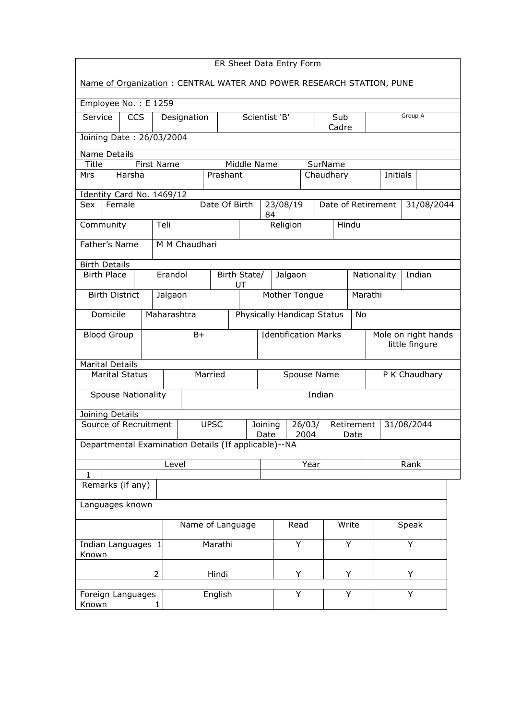| ER Sheet Data Entry Form                                             |                           |                                          |             |                                  |      |                               |                                                                       |          |                                       |         |      |                    |   |            |  |
|----------------------------------------------------------------------|---------------------------|------------------------------------------|-------------|----------------------------------|------|-------------------------------|-----------------------------------------------------------------------|----------|---------------------------------------|---------|------|--------------------|---|------------|--|
| Name of Organization: CENTRAL WATER AND POWER RESEARCH STATION, PUNE |                           |                                          |             |                                  |      |                               |                                                                       |          |                                       |         |      |                    |   |            |  |
| Employee No.: E 1259                                                 |                           |                                          |             |                                  |      |                               |                                                                       |          |                                       |         |      |                    |   |            |  |
| Service                                                              | <b>CCS</b><br>Designation |                                          |             |                                  |      | Scientist 'B'<br>Sub<br>Cadre |                                                                       |          |                                       | Group A |      |                    |   |            |  |
|                                                                      | Joining Date: 26/03/2004  |                                          |             |                                  |      |                               |                                                                       |          |                                       |         |      |                    |   |            |  |
| Name Details                                                         |                           |                                          |             |                                  |      |                               |                                                                       |          |                                       |         |      |                    |   |            |  |
| <b>Title</b><br>First Name<br>Middle Name                            |                           |                                          |             |                                  |      |                               | SurName                                                               |          |                                       |         |      |                    |   |            |  |
| Prashant<br>Harsha<br>Chaudhary<br><b>Initials</b><br>Mrs            |                           |                                          |             |                                  |      |                               |                                                                       |          |                                       |         |      |                    |   |            |  |
|                                                                      | Identity Card No. 1469/12 |                                          |             |                                  |      |                               |                                                                       |          |                                       |         |      |                    |   |            |  |
| Female<br>Sex                                                        |                           |                                          |             | Date Of Birth                    |      | 84                            |                                                                       | 23/08/19 |                                       |         |      | Date of Retirement |   | 31/08/2044 |  |
| Community                                                            |                           | Teli                                     |             |                                  |      |                               |                                                                       | Religion |                                       | Hindu   |      |                    |   |            |  |
| Father's Name                                                        |                           | M M Chaudhari                            |             |                                  |      |                               |                                                                       |          |                                       |         |      |                    |   |            |  |
| <b>Birth Details</b>                                                 |                           |                                          |             |                                  |      |                               |                                                                       |          |                                       |         |      |                    |   |            |  |
| <b>Birth Place</b>                                                   |                           | Erandol<br>Birth State/<br>Jalgaon<br>UT |             |                                  |      |                               |                                                                       |          | Indian<br>Nationality                 |         |      |                    |   |            |  |
| <b>Birth District</b>                                                |                           | Mother Tongue<br>Marathi<br>Jalgaon      |             |                                  |      |                               |                                                                       |          |                                       |         |      |                    |   |            |  |
| Domicile                                                             | Maharashtra               |                                          |             | Physically Handicap Status<br>No |      |                               |                                                                       |          |                                       |         |      |                    |   |            |  |
| <b>Blood Group</b>                                                   | $B+$                      |                                          |             | <b>Identification Marks</b>      |      |                               |                                                                       |          | Mole on right hands<br>little fingure |         |      |                    |   |            |  |
| <b>Marital Details</b><br>Married<br><b>Marital Status</b>           |                           |                                          |             | P K Chaudhary<br>Spouse Name     |      |                               |                                                                       |          |                                       |         |      |                    |   |            |  |
| Spouse Nationality                                                   |                           |                                          |             |                                  |      |                               |                                                                       |          | Indian                                |         |      |                    |   |            |  |
| Joining Details                                                      |                           |                                          |             |                                  |      |                               |                                                                       |          |                                       |         |      |                    |   |            |  |
| Source of Recruitment                                                |                           |                                          | <b>UPSC</b> |                                  |      |                               | Retirement<br>31/08/2044<br>Joining<br>26/03/<br>2004<br>Date<br>Date |          |                                       |         |      |                    |   |            |  |
| Departmental Examination Details (If applicable)--NA                 |                           |                                          |             |                                  |      |                               |                                                                       |          |                                       |         |      |                    |   |            |  |
|                                                                      |                           | Level                                    |             |                                  |      | Year                          |                                                                       |          |                                       |         | Rank |                    |   |            |  |
| 1<br>Remarks (if any)                                                |                           |                                          |             |                                  |      |                               |                                                                       |          |                                       |         |      |                    |   |            |  |
|                                                                      |                           |                                          |             |                                  |      |                               |                                                                       |          |                                       |         |      |                    |   |            |  |
| Languages known                                                      |                           |                                          |             |                                  |      |                               |                                                                       |          |                                       |         |      |                    |   |            |  |
| Name of Language                                                     |                           |                                          |             |                                  | Read |                               | Write                                                                 |          |                                       | Speak   |      |                    |   |            |  |
| Marathi<br>Indian Languages 1<br>Known                               |                           |                                          |             |                                  | Y    |                               |                                                                       | Y        |                                       | Y       |      |                    |   |            |  |
|                                                                      | 2                         |                                          |             | Hindi                            |      |                               |                                                                       | Y        |                                       | Y       |      |                    | Y |            |  |
| Foreign Languages<br>Known<br>$\mathbf{1}$                           |                           |                                          | English     |                                  |      | Y                             |                                                                       |          | Y                                     |         | Y    |                    |   |            |  |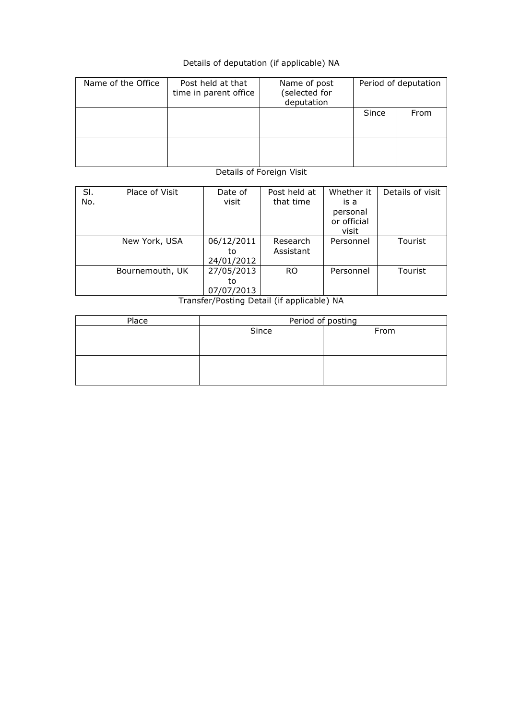## Details of deputation (if applicable) NA

| Name of the Office | Post held at that<br>time in parent office | Name of post<br>(selected for<br>deputation | Period of deputation |      |  |
|--------------------|--------------------------------------------|---------------------------------------------|----------------------|------|--|
|                    |                                            |                                             | Since                | From |  |
|                    |                                            |                                             |                      |      |  |

## Details of Foreign Visit

| SI. | Place of Visit  | Date of    | Post held at  | Whether it           | Details of visit |
|-----|-----------------|------------|---------------|----------------------|------------------|
| No. |                 | visit      | that time     | is a                 |                  |
|     |                 |            |               | personal             |                  |
|     |                 |            |               | or official<br>visit |                  |
|     | New York, USA   | 06/12/2011 | Research      | Personnel            | <b>Tourist</b>   |
|     |                 | to         | Assistant     |                      |                  |
|     |                 | 24/01/2012 |               |                      |                  |
|     | Bournemouth, UK | 27/05/2013 | <sub>RO</sub> | Personnel            | Tourist          |
|     |                 | to         |               |                      |                  |
|     |                 | 07/07/2013 |               |                      |                  |

Transfer/Posting Detail (if applicable) NA

| Place | Period of posting |      |  |  |  |  |  |
|-------|-------------------|------|--|--|--|--|--|
|       | Since             | From |  |  |  |  |  |
|       |                   |      |  |  |  |  |  |
|       |                   |      |  |  |  |  |  |
|       |                   |      |  |  |  |  |  |
|       |                   |      |  |  |  |  |  |
|       |                   |      |  |  |  |  |  |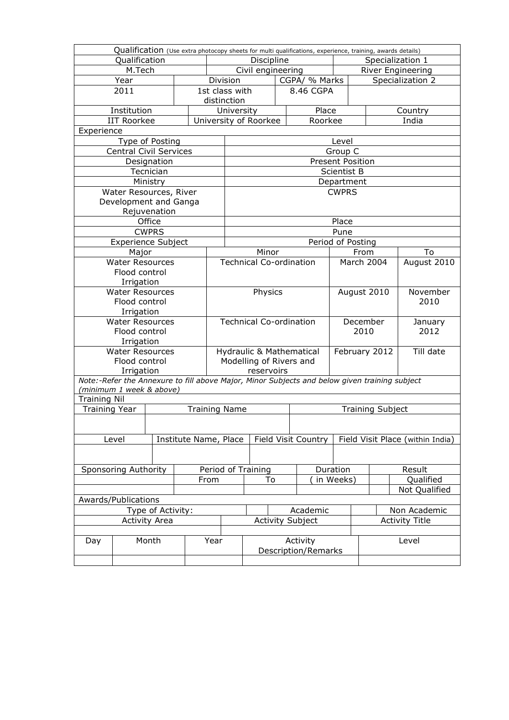|                          |                               |              |      |                          |                                            |                                |  | Qualification (Use extra photocopy sheets for multi qualifications, experience, training, awards details) |                         |                   |           |                                  |  |
|--------------------------|-------------------------------|--------------|------|--------------------------|--------------------------------------------|--------------------------------|--|-----------------------------------------------------------------------------------------------------------|-------------------------|-------------------|-----------|----------------------------------|--|
| Qualification            |                               |              |      | Discipline               |                                            |                                |  |                                                                                                           | Specialization 1        |                   |           |                                  |  |
| M.Tech                   |                               |              |      |                          | Civil engineering                          |                                |  |                                                                                                           |                         | River Engineering |           |                                  |  |
|                          | Year                          |              |      |                          | Division                                   | CGPA/ % Marks                  |  |                                                                                                           |                         |                   |           | Specialization 2                 |  |
|                          | 2011                          |              |      |                          | 1st class with<br>8.46 CGPA<br>distinction |                                |  |                                                                                                           |                         |                   |           |                                  |  |
| Institution              |                               |              |      |                          | University                                 |                                |  | Place                                                                                                     |                         | Country           |           |                                  |  |
| <b>IIT Roorkee</b>       |                               |              |      |                          | University of Roorkee<br>Roorkee           |                                |  |                                                                                                           |                         | India             |           |                                  |  |
| Experience               |                               |              |      |                          |                                            |                                |  |                                                                                                           |                         |                   |           |                                  |  |
|                          | Type of Posting               |              |      |                          |                                            | Level                          |  |                                                                                                           |                         |                   |           |                                  |  |
|                          | <b>Central Civil Services</b> |              |      |                          |                                            | Group C                        |  |                                                                                                           |                         |                   |           |                                  |  |
|                          |                               | Designation  |      |                          |                                            |                                |  |                                                                                                           | <b>Present Position</b> |                   |           |                                  |  |
|                          |                               | Tecnician    |      |                          |                                            |                                |  |                                                                                                           | Scientist B             |                   |           |                                  |  |
|                          |                               | Ministry     |      |                          |                                            |                                |  |                                                                                                           | Department              |                   |           |                                  |  |
|                          | Water Resources, River        |              |      |                          |                                            |                                |  |                                                                                                           | <b>CWPRS</b>            |                   |           |                                  |  |
|                          | Development and Ganga         |              |      |                          |                                            |                                |  |                                                                                                           |                         |                   |           |                                  |  |
|                          |                               | Rejuvenation |      |                          |                                            |                                |  |                                                                                                           |                         |                   |           |                                  |  |
|                          |                               | Office       |      |                          |                                            |                                |  |                                                                                                           | Place                   |                   |           |                                  |  |
|                          |                               | <b>CWPRS</b> |      |                          |                                            |                                |  |                                                                                                           | Pune                    |                   |           |                                  |  |
|                          | <b>Experience Subject</b>     |              |      |                          |                                            |                                |  |                                                                                                           | Period of Posting       |                   |           |                                  |  |
|                          | Major                         |              |      |                          |                                            | Minor                          |  |                                                                                                           |                         | From              |           | To                               |  |
|                          | <b>Water Resources</b>        |              |      |                          |                                            | <b>Technical Co-ordination</b> |  |                                                                                                           | <b>March 2004</b>       |                   |           | August 2010                      |  |
|                          | Flood control                 |              |      |                          |                                            |                                |  |                                                                                                           |                         |                   |           |                                  |  |
|                          | Irrigation                    |              |      |                          |                                            |                                |  |                                                                                                           |                         |                   |           |                                  |  |
|                          | <b>Water Resources</b>        |              |      |                          |                                            | Physics                        |  |                                                                                                           | August 2010             |                   |           | November                         |  |
|                          | Flood control                 |              |      |                          |                                            |                                |  |                                                                                                           |                         | 2010              |           |                                  |  |
| Irrigation               |                               |              |      |                          |                                            |                                |  |                                                                                                           |                         |                   |           |                                  |  |
|                          | <b>Water Resources</b>        |              |      |                          |                                            | <b>Technical Co-ordination</b> |  |                                                                                                           |                         | December          |           | January                          |  |
|                          | Flood control                 |              |      |                          |                                            |                                |  |                                                                                                           |                         | 2010              |           | 2012                             |  |
|                          | Irrigation                    |              |      |                          |                                            |                                |  |                                                                                                           |                         |                   |           |                                  |  |
|                          | <b>Water Resources</b>        |              |      |                          | Hydraulic & Mathematical                   |                                |  | February 2012                                                                                             |                         |                   | Till date |                                  |  |
|                          | Flood control                 |              |      |                          | Modelling of Rivers and                    |                                |  |                                                                                                           |                         |                   |           |                                  |  |
|                          | Irrigation                    |              |      |                          |                                            | reservoirs                     |  |                                                                                                           |                         |                   |           |                                  |  |
| (minimum 1 week & above) |                               |              |      |                          |                                            |                                |  | Note:-Refer the Annexure to fill above Major, Minor Subjects and below given training subject             |                         |                   |           |                                  |  |
| <b>Training Nil</b>      |                               |              |      |                          |                                            |                                |  |                                                                                                           |                         |                   |           |                                  |  |
| <b>Training Year</b>     |                               |              |      |                          | <b>Training Name</b>                       |                                |  |                                                                                                           | <b>Training Subject</b> |                   |           |                                  |  |
|                          |                               |              |      |                          |                                            |                                |  |                                                                                                           |                         |                   |           |                                  |  |
|                          |                               |              |      |                          |                                            |                                |  |                                                                                                           |                         |                   |           |                                  |  |
|                          | Level                         |              |      |                          | Institute Name, Place                      |                                |  | Field Visit Country                                                                                       |                         |                   |           | Field Visit Place (within India) |  |
|                          |                               |              |      |                          |                                            |                                |  |                                                                                                           |                         |                   |           |                                  |  |
|                          |                               |              |      |                          |                                            |                                |  | Duration                                                                                                  |                         |                   |           | Result                           |  |
| Sponsoring Authority     |                               |              | From | Period of Training<br>To |                                            |                                |  | in Weeks)                                                                                                 |                         |                   | Qualified |                                  |  |
|                          |                               |              |      |                          |                                            |                                |  | Not Qualified                                                                                             |                         |                   |           |                                  |  |
| Awards/Publications      |                               |              |      |                          |                                            |                                |  |                                                                                                           |                         |                   |           |                                  |  |
| Type of Activity:        |                               |              |      |                          |                                            | Academic                       |  |                                                                                                           |                         | Non Academic      |           |                                  |  |
| <b>Activity Area</b>     |                               |              |      |                          | <b>Activity Subject</b>                    |                                |  |                                                                                                           | <b>Activity Title</b>   |                   |           |                                  |  |
|                          |                               |              |      |                          |                                            |                                |  |                                                                                                           |                         |                   |           |                                  |  |
| Month<br>Day             |                               |              | Year | Activity                 |                                            |                                |  | Level                                                                                                     |                         |                   |           |                                  |  |
|                          |                               |              |      |                          |                                            |                                |  | Description/Remarks                                                                                       |                         |                   |           |                                  |  |
|                          |                               |              |      |                          |                                            |                                |  |                                                                                                           |                         |                   |           |                                  |  |